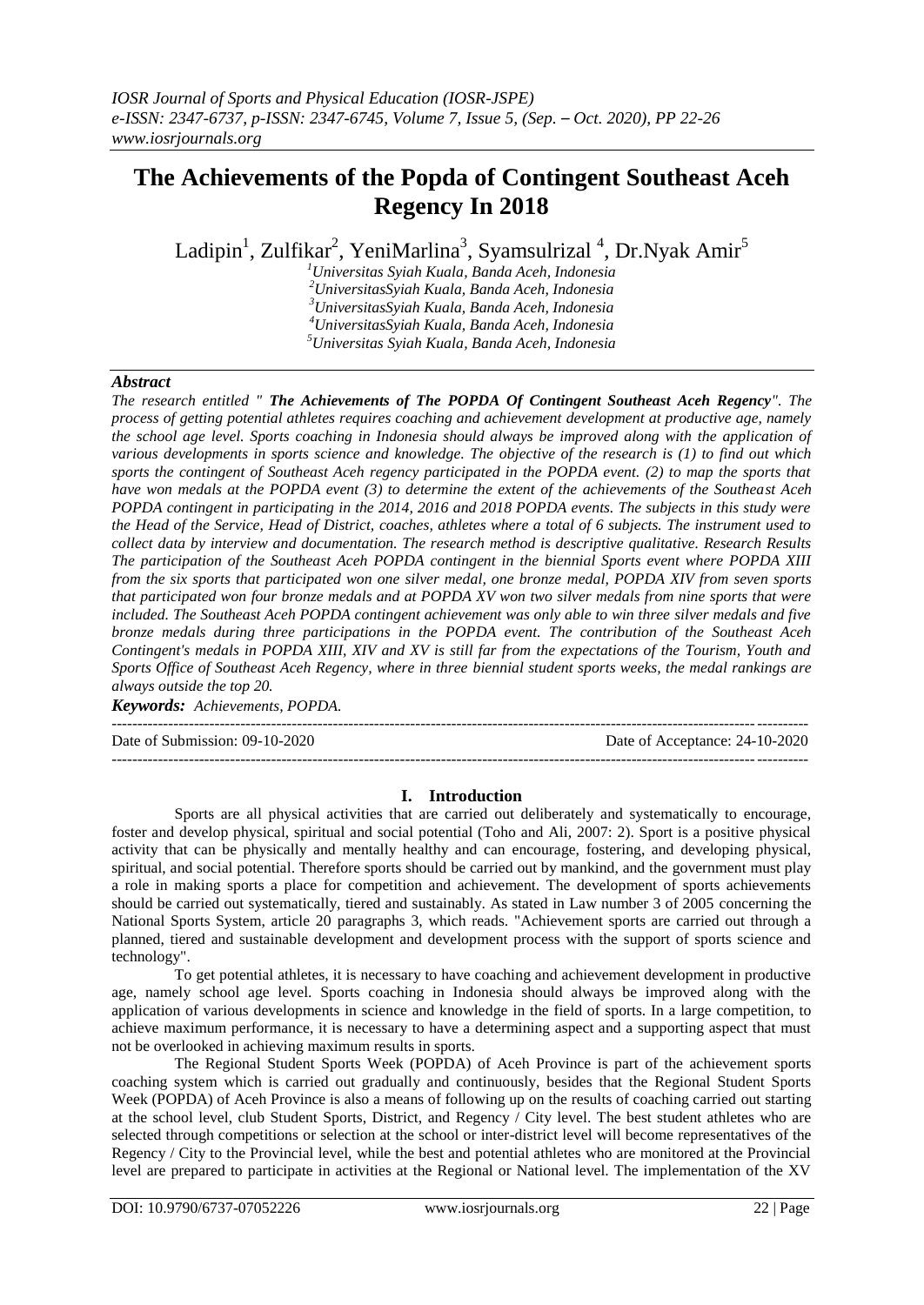## **The Achievements of the Popda of Contingent Southeast Aceh Regency In 2018**

Ladipin $^1$ , Zulfikar $^2$ , YeniMarlina $^3$ , Syamsulrizal  $^4$ , Dr.Nyak Amir $^5$ 

*Universitas Syiah Kuala, Banda Aceh, Indonesia UniversitasSyiah Kuala, Banda Aceh, Indonesia UniversitasSyiah Kuala, Banda Aceh, Indonesia UniversitasSyiah Kuala, Banda Aceh, Indonesia Universitas Syiah Kuala, Banda Aceh, Indonesia*

### *Abstract*

*The research entitled " The Achievements of The POPDA Of Contingent Southeast Aceh Regency". The process of getting potential athletes requires coaching and achievement development at productive age, namely the school age level. Sports coaching in Indonesia should always be improved along with the application of various developments in sports science and knowledge. The objective of the research is (1) to find out which sports the contingent of Southeast Aceh regency participated in the POPDA event. (2) to map the sports that have won medals at the POPDA event (3) to determine the extent of the achievements of the Southeast Aceh POPDA contingent in participating in the 2014, 2016 and 2018 POPDA events. The subjects in this study were the Head of the Service, Head of District, coaches, athletes where a total of 6 subjects. The instrument used to collect data by interview and documentation. The research method is descriptive qualitative. Research Results The participation of the Southeast Aceh POPDA contingent in the biennial Sports event where POPDA XIII from the six sports that participated won one silver medal, one bronze medal, POPDA XIV from seven sports that participated won four bronze medals and at POPDA XV won two silver medals from nine sports that were included. The Southeast Aceh POPDA contingent achievement was only able to win three silver medals and five bronze medals during three participations in the POPDA event. The contribution of the Southeast Aceh Contingent's medals in POPDA XIII, XIV and XV is still far from the expectations of the Tourism, Youth and Sports Office of Southeast Aceh Regency, where in three biennial student sports weeks, the medal rankings are always outside the top 20.*

*Keywords: Achievements, POPDA.*

---------------------------------------------------------------------------------------------------------------------------------------

Date of Submission: 09-10-2020 Date of Acceptance: 24-10-2020

# **I. Introduction**

---------------------------------------------------------------------------------------------------------------------------------------

Sports are all physical activities that are carried out deliberately and systematically to encourage, foster and develop physical, spiritual and social potential (Toho and Ali, 2007: 2). Sport is a positive physical activity that can be physically and mentally healthy and can encourage, fostering, and developing physical, spiritual, and social potential. Therefore sports should be carried out by mankind, and the government must play a role in making sports a place for competition and achievement. The development of sports achievements should be carried out systematically, tiered and sustainably. As stated in Law number 3 of 2005 concerning the National Sports System, article 20 paragraphs 3, which reads. "Achievement sports are carried out through a planned, tiered and sustainable development and development process with the support of sports science and technology".

To get potential athletes, it is necessary to have coaching and achievement development in productive age, namely school age level. Sports coaching in Indonesia should always be improved along with the application of various developments in science and knowledge in the field of sports. In a large competition, to achieve maximum performance, it is necessary to have a determining aspect and a supporting aspect that must not be overlooked in achieving maximum results in sports.

The Regional Student Sports Week (POPDA) of Aceh Province is part of the achievement sports coaching system which is carried out gradually and continuously, besides that the Regional Student Sports Week (POPDA) of Aceh Province is also a means of following up on the results of coaching carried out starting at the school level, club Student Sports, District, and Regency / City level. The best student athletes who are selected through competitions or selection at the school or inter-district level will become representatives of the Regency / City to the Provincial level, while the best and potential athletes who are monitored at the Provincial level are prepared to participate in activities at the Regional or National level. The implementation of the XV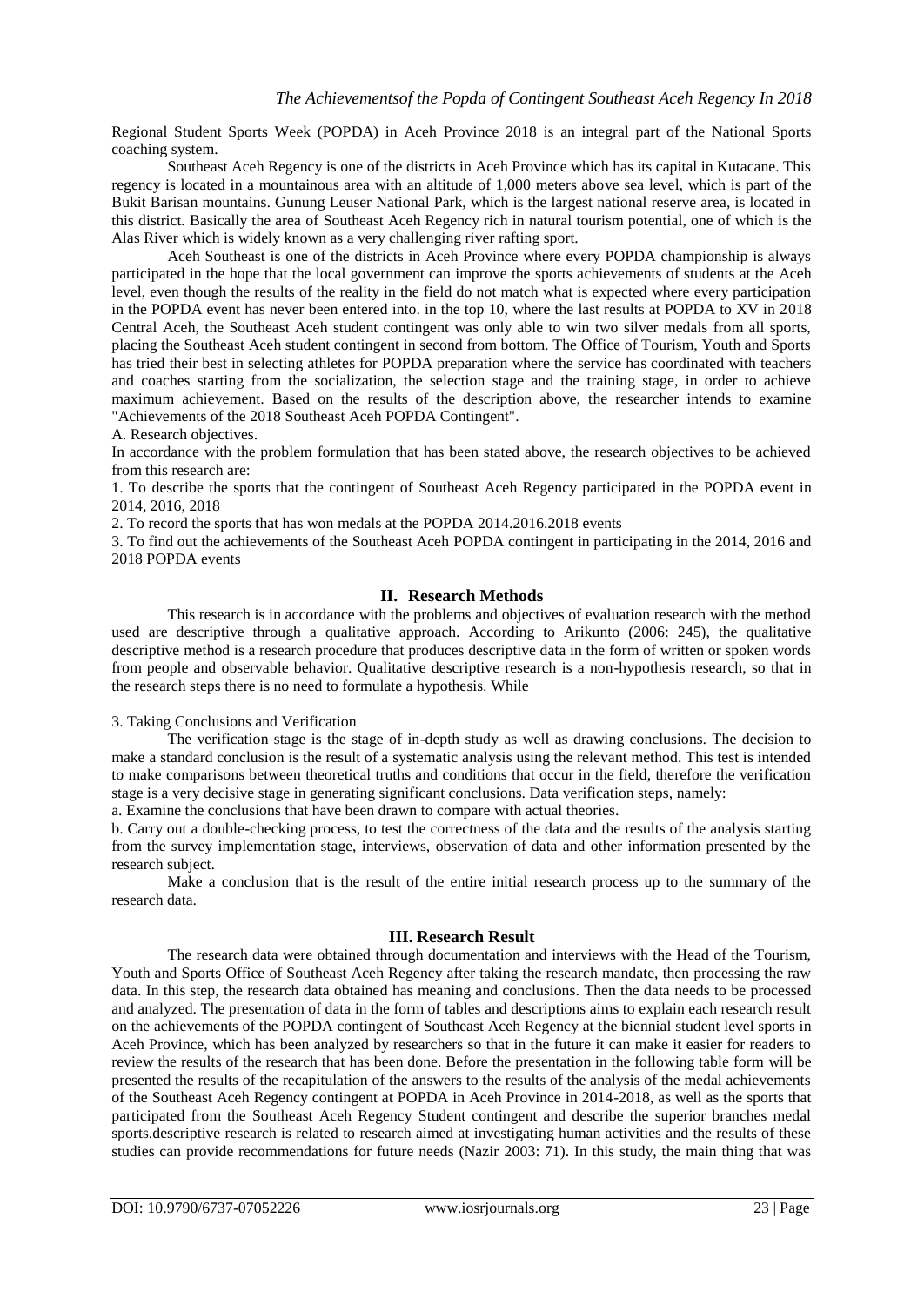Regional Student Sports Week (POPDA) in Aceh Province 2018 is an integral part of the National Sports coaching system.

Southeast Aceh Regency is one of the districts in Aceh Province which has its capital in Kutacane. This regency is located in a mountainous area with an altitude of 1,000 meters above sea level, which is part of the Bukit Barisan mountains. Gunung Leuser National Park, which is the largest national reserve area, is located in this district. Basically the area of Southeast Aceh Regency rich in natural tourism potential, one of which is the Alas River which is widely known as a very challenging river rafting sport.

Aceh Southeast is one of the districts in Aceh Province where every POPDA championship is always participated in the hope that the local government can improve the sports achievements of students at the Aceh level, even though the results of the reality in the field do not match what is expected where every participation in the POPDA event has never been entered into. in the top 10, where the last results at POPDA to XV in 2018 Central Aceh, the Southeast Aceh student contingent was only able to win two silver medals from all sports, placing the Southeast Aceh student contingent in second from bottom. The Office of Tourism, Youth and Sports has tried their best in selecting athletes for POPDA preparation where the service has coordinated with teachers and coaches starting from the socialization, the selection stage and the training stage, in order to achieve maximum achievement. Based on the results of the description above, the researcher intends to examine "Achievements of the 2018 Southeast Aceh POPDA Contingent".

A. Research objectives.

In accordance with the problem formulation that has been stated above, the research objectives to be achieved from this research are:

1. To describe the sports that the contingent of Southeast Aceh Regency participated in the POPDA event in 2014, 2016, 2018

2. To record the sports that has won medals at the POPDA 2014.2016.2018 events

3. To find out the achievements of the Southeast Aceh POPDA contingent in participating in the 2014, 2016 and 2018 POPDA events

#### **II. Research Methods**

This research is in accordance with the problems and objectives of evaluation research with the method used are descriptive through a qualitative approach. According to Arikunto (2006: 245), the qualitative descriptive method is a research procedure that produces descriptive data in the form of written or spoken words from people and observable behavior. Qualitative descriptive research is a non-hypothesis research, so that in the research steps there is no need to formulate a hypothesis. While

#### 3. Taking Conclusions and Verification

The verification stage is the stage of in-depth study as well as drawing conclusions. The decision to make a standard conclusion is the result of a systematic analysis using the relevant method. This test is intended to make comparisons between theoretical truths and conditions that occur in the field, therefore the verification stage is a very decisive stage in generating significant conclusions. Data verification steps, namely:

a. Examine the conclusions that have been drawn to compare with actual theories.

b. Carry out a double-checking process, to test the correctness of the data and the results of the analysis starting from the survey implementation stage, interviews, observation of data and other information presented by the research subject.

Make a conclusion that is the result of the entire initial research process up to the summary of the research data.

#### **III. Research Result**

The research data were obtained through documentation and interviews with the Head of the Tourism, Youth and Sports Office of Southeast Aceh Regency after taking the research mandate, then processing the raw data. In this step, the research data obtained has meaning and conclusions. Then the data needs to be processed and analyzed. The presentation of data in the form of tables and descriptions aims to explain each research result on the achievements of the POPDA contingent of Southeast Aceh Regency at the biennial student level sports in Aceh Province, which has been analyzed by researchers so that in the future it can make it easier for readers to review the results of the research that has been done. Before the presentation in the following table form will be presented the results of the recapitulation of the answers to the results of the analysis of the medal achievements of the Southeast Aceh Regency contingent at POPDA in Aceh Province in 2014-2018, as well as the sports that participated from the Southeast Aceh Regency Student contingent and describe the superior branches medal sports.descriptive research is related to research aimed at investigating human activities and the results of these studies can provide recommendations for future needs (Nazir 2003: 71). In this study, the main thing that was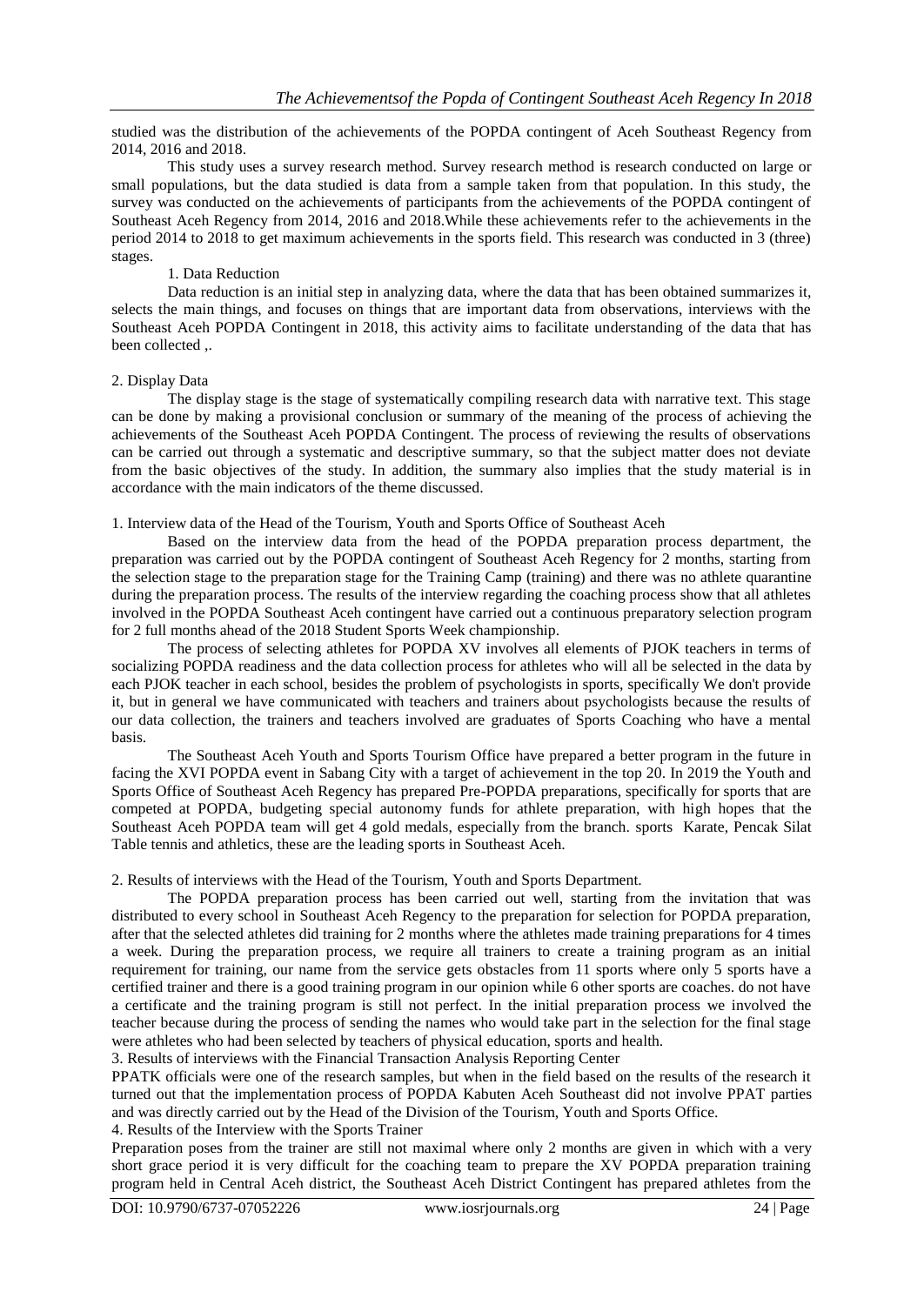studied was the distribution of the achievements of the POPDA contingent of Aceh Southeast Regency from 2014, 2016 and 2018.

This study uses a survey research method. Survey research method is research conducted on large or small populations, but the data studied is data from a sample taken from that population. In this study, the survey was conducted on the achievements of participants from the achievements of the POPDA contingent of Southeast Aceh Regency from 2014, 2016 and 2018.While these achievements refer to the achievements in the period 2014 to 2018 to get maximum achievements in the sports field. This research was conducted in 3 (three) stages.

#### 1. Data Reduction

Data reduction is an initial step in analyzing data, where the data that has been obtained summarizes it, selects the main things, and focuses on things that are important data from observations, interviews with the Southeast Aceh POPDA Contingent in 2018, this activity aims to facilitate understanding of the data that has been collected ,.

#### 2. Display Data

The display stage is the stage of systematically compiling research data with narrative text. This stage can be done by making a provisional conclusion or summary of the meaning of the process of achieving the achievements of the Southeast Aceh POPDA Contingent. The process of reviewing the results of observations can be carried out through a systematic and descriptive summary, so that the subject matter does not deviate from the basic objectives of the study. In addition, the summary also implies that the study material is in accordance with the main indicators of the theme discussed.

#### 1. Interview data of the Head of the Tourism, Youth and Sports Office of Southeast Aceh

Based on the interview data from the head of the POPDA preparation process department, the preparation was carried out by the POPDA contingent of Southeast Aceh Regency for 2 months, starting from the selection stage to the preparation stage for the Training Camp (training) and there was no athlete quarantine during the preparation process. The results of the interview regarding the coaching process show that all athletes involved in the POPDA Southeast Aceh contingent have carried out a continuous preparatory selection program for 2 full months ahead of the 2018 Student Sports Week championship.

The process of selecting athletes for POPDA XV involves all elements of PJOK teachers in terms of socializing POPDA readiness and the data collection process for athletes who will all be selected in the data by each PJOK teacher in each school, besides the problem of psychologists in sports, specifically We don't provide it, but in general we have communicated with teachers and trainers about psychologists because the results of our data collection, the trainers and teachers involved are graduates of Sports Coaching who have a mental basis.

The Southeast Aceh Youth and Sports Tourism Office have prepared a better program in the future in facing the XVI POPDA event in Sabang City with a target of achievement in the top 20. In 2019 the Youth and Sports Office of Southeast Aceh Regency has prepared Pre-POPDA preparations, specifically for sports that are competed at POPDA, budgeting special autonomy funds for athlete preparation, with high hopes that the Southeast Aceh POPDA team will get 4 gold medals, especially from the branch. sports Karate, Pencak Silat Table tennis and athletics, these are the leading sports in Southeast Aceh.

#### 2. Results of interviews with the Head of the Tourism, Youth and Sports Department.

The POPDA preparation process has been carried out well, starting from the invitation that was distributed to every school in Southeast Aceh Regency to the preparation for selection for POPDA preparation, after that the selected athletes did training for 2 months where the athletes made training preparations for 4 times a week. During the preparation process, we require all trainers to create a training program as an initial requirement for training, our name from the service gets obstacles from 11 sports where only 5 sports have a certified trainer and there is a good training program in our opinion while 6 other sports are coaches. do not have a certificate and the training program is still not perfect. In the initial preparation process we involved the teacher because during the process of sending the names who would take part in the selection for the final stage were athletes who had been selected by teachers of physical education, sports and health.

3. Results of interviews with the Financial Transaction Analysis Reporting Center

PPATK officials were one of the research samples, but when in the field based on the results of the research it turned out that the implementation process of POPDA Kabuten Aceh Southeast did not involve PPAT parties and was directly carried out by the Head of the Division of the Tourism, Youth and Sports Office.

#### 4. Results of the Interview with the Sports Trainer

Preparation poses from the trainer are still not maximal where only 2 months are given in which with a very short grace period it is very difficult for the coaching team to prepare the XV POPDA preparation training program held in Central Aceh district, the Southeast Aceh District Contingent has prepared athletes from the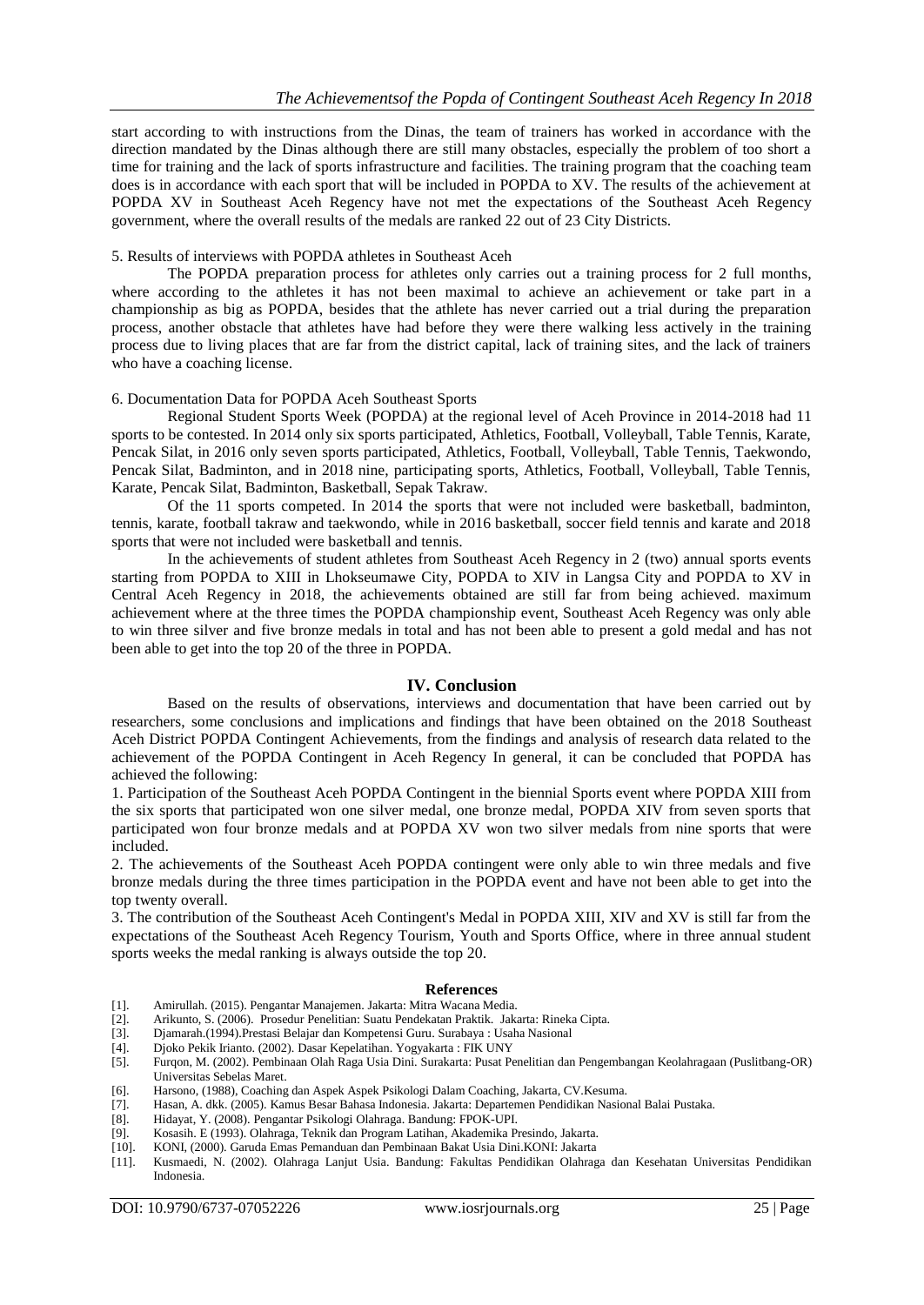start according to with instructions from the Dinas, the team of trainers has worked in accordance with the direction mandated by the Dinas although there are still many obstacles, especially the problem of too short a time for training and the lack of sports infrastructure and facilities. The training program that the coaching team does is in accordance with each sport that will be included in POPDA to XV. The results of the achievement at POPDA XV in Southeast Aceh Regency have not met the expectations of the Southeast Aceh Regency government, where the overall results of the medals are ranked 22 out of 23 City Districts.

#### 5. Results of interviews with POPDA athletes in Southeast Aceh

The POPDA preparation process for athletes only carries out a training process for 2 full months, where according to the athletes it has not been maximal to achieve an achievement or take part in a championship as big as POPDA, besides that the athlete has never carried out a trial during the preparation process, another obstacle that athletes have had before they were there walking less actively in the training process due to living places that are far from the district capital, lack of training sites, and the lack of trainers who have a coaching license.

#### 6. Documentation Data for POPDA Aceh Southeast Sports

Regional Student Sports Week (POPDA) at the regional level of Aceh Province in 2014-2018 had 11 sports to be contested. In 2014 only six sports participated, Athletics, Football, Volleyball, Table Tennis, Karate, Pencak Silat, in 2016 only seven sports participated, Athletics, Football, Volleyball, Table Tennis, Taekwondo, Pencak Silat, Badminton, and in 2018 nine, participating sports, Athletics, Football, Volleyball, Table Tennis, Karate, Pencak Silat, Badminton, Basketball, Sepak Takraw.

Of the 11 sports competed. In 2014 the sports that were not included were basketball, badminton, tennis, karate, football takraw and taekwondo, while in 2016 basketball, soccer field tennis and karate and 2018 sports that were not included were basketball and tennis.

In the achievements of student athletes from Southeast Aceh Regency in 2 (two) annual sports events starting from POPDA to XIII in Lhokseumawe City, POPDA to XIV in Langsa City and POPDA to XV in Central Aceh Regency in 2018, the achievements obtained are still far from being achieved. maximum achievement where at the three times the POPDA championship event, Southeast Aceh Regency was only able to win three silver and five bronze medals in total and has not been able to present a gold medal and has not been able to get into the top 20 of the three in POPDA.

#### **IV. Conclusion**

Based on the results of observations, interviews and documentation that have been carried out by researchers, some conclusions and implications and findings that have been obtained on the 2018 Southeast Aceh District POPDA Contingent Achievements, from the findings and analysis of research data related to the achievement of the POPDA Contingent in Aceh Regency In general, it can be concluded that POPDA has achieved the following:

1. Participation of the Southeast Aceh POPDA Contingent in the biennial Sports event where POPDA XIII from the six sports that participated won one silver medal, one bronze medal, POPDA XIV from seven sports that participated won four bronze medals and at POPDA XV won two silver medals from nine sports that were included.

2. The achievements of the Southeast Aceh POPDA contingent were only able to win three medals and five bronze medals during the three times participation in the POPDA event and have not been able to get into the top twenty overall.

3. The contribution of the Southeast Aceh Contingent's Medal in POPDA XIII, XIV and XV is still far from the expectations of the Southeast Aceh Regency Tourism, Youth and Sports Office, where in three annual student sports weeks the medal ranking is always outside the top 20.

#### **References**

- [1]. Amirullah. (2015). Pengantar Manajemen. Jakarta: Mitra Wacana Media.
- [2]. Arikunto, S. (2006). Prosedur Penelitian: Suatu Pendekatan Praktik. Jakarta: Rineka Cipta.
- [3]. Djamarah.(1994).Prestasi Belajar dan Kompetensi Guru. Surabaya : Usaha Nasional
- [4]. Djoko Pekik Irianto. (2002). Dasar Kepelatihan. Yogyakarta : FIK UNY
- [5]. Furqon, M. (2002). Pembinaan Olah Raga Usia Dini. Surakarta: Pusat Penelitian dan Pengembangan Keolahragaan (Puslitbang-OR) Universitas Sebelas Maret.
- [6]. Harsono, (1988), Coaching dan Aspek Aspek Psikologi Dalam Coaching, Jakarta, CV.Kesuma.
- [7]. Hasan, A. dkk. (2005). Kamus Besar Bahasa Indonesia. Jakarta: Departemen Pendidikan Nasional Balai Pustaka.
- [8]. Hidayat, Y. (2008). Pengantar Psikologi Olahraga. Bandung: FPOK-UPI.
- [9]. Kosasih. E (1993). Olahraga, Teknik dan Program Latihan, Akademika Presindo, Jakarta.
- [10]. KONI, (2000). Garuda Emas Pemanduan dan Pembinaan Bakat Usia Dini.KONI: Jakarta
- [11]. Kusmaedi, N. (2002). Olahraga Lanjut Usia. Bandung: Fakultas Pendidikan Olahraga dan Kesehatan Universitas Pendidikan Indonesia.